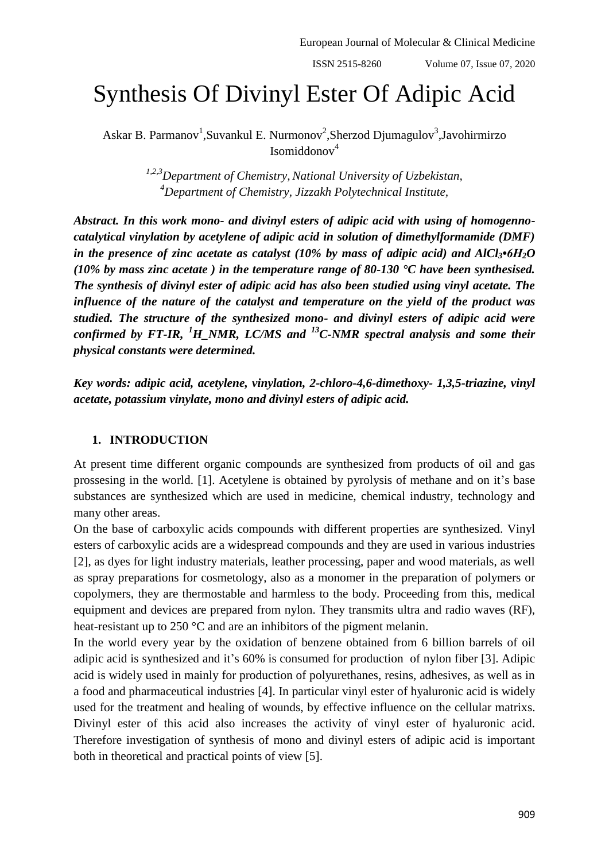# Synthesis Of Divinyl Ester Of Adipic Acid

Askar B. Parmanov<sup>1</sup>, Suvankul E. Nurmonov<sup>2</sup>, Sherzod Djumagulov<sup>3</sup>, Javohirmirzo Isomiddonov<sup>4</sup>

> *1,2,3Department of Chemistry, National University of Uzbekistan, <sup>4</sup>Department of Chemistry, Jizzakh Polytechnical Institute,*

*Abstract. In this work mono- and divinyl esters of adipic acid with using of homogennocatalytical vinylation by acetylene of adipic acid in solution of dimethylformamide (DMF) in the presence of zinc acetate as catalyst (10% by mass of adipic acid) and AlCl3•6H2O (10% by mass zinc acetate ) in the temperature range of 80-130 °C have been synthesised. The synthesis of divinyl ester of adipic acid has also been studied using vinyl acetate. The influence of the nature of the catalyst and temperature on the yield of the product was studied. The structure of the synthesized mono- and divinyl esters of adipic acid were confirmed by FT-IR, <sup>1</sup>H\_NMR, LC/MS and <sup>13</sup>C-NMR spectral analysis and some their physical constants were determined.*

*Key words: adipic acid, acetylene, vinylation, 2-chloro-4,6-dimethoxy- 1,3,5-triazine, vinyl acetate, potassium vinylate, mono and divinyl esters of adipic acid.*

## **1. INTRODUCTION**

At present time different organic compounds are synthesized from products of oil and gas prossesing in the world. [1]. Acetylene is obtained by pyrolysis of methane and on it's base substances are synthesized which are used in medicine, chemical industry, technology and many other areas.

On the base of carboxylic acids compounds with different properties are synthesized. Vinyl esters of carboxylic acids are a widespread compounds and they are used in various industries [2], as dyes for light industry materials, leather processing, paper and wood materials, as well as spray preparations for cosmetology, also as a monomer in the preparation of polymers or copolymers, they are thermostable and harmless to the body. Proceeding from this, medical equipment and devices are prepared from nylon. They transmits ultra and radio waves (RF), heat-resistant up to 250 °C and are an inhibitors of the pigment melanin.

In the world every year by the oxidation of benzene obtained from 6 billion barrels of oil adipic acid is synthesized and it's 60% is consumed for production of nylon fiber [3]. Adipic acid is widely used in mainly for production of polyurethanes, resins, adhesives, as well as in a food and pharmaceutical industries [4]. In particular vinyl ester of hyaluronic acid is widely used for the treatment and healing of wounds, by effective influence on the cellular matrixs. Divinyl ester of this acid also increases the activity of vinyl ester of hyaluronic acid. Therefore investigation of synthesis of mono and divinyl esters of adipic acid is important both in theoretical and practical points of view [5].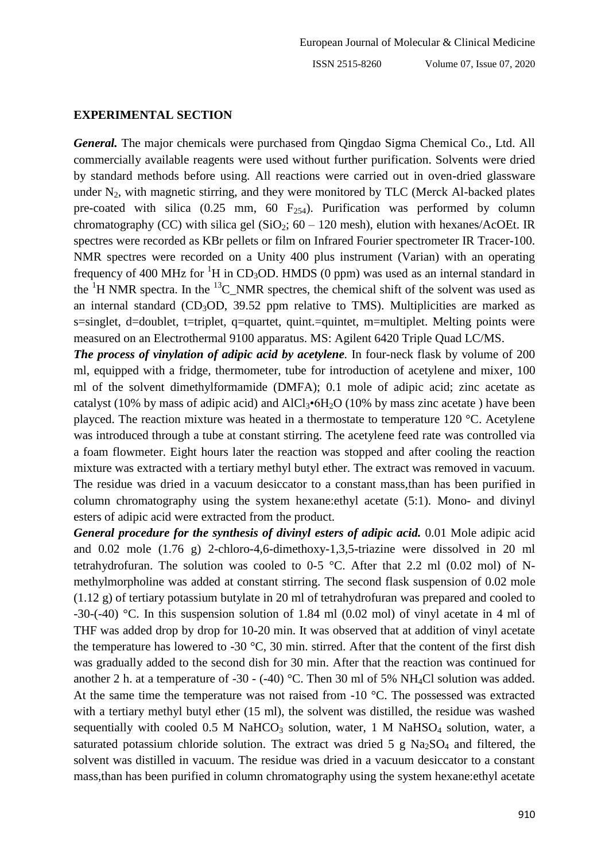#### **EXPERIMENTAL SECTION**

*General.* The major chemicals were purchased from Qingdao Sigma Chemical Co., Ltd. All commercially available reagents were used without further purification. Solvents were dried by standard methods before using. All reactions were carried out in oven-dried glassware under  $N_2$ , with magnetic stirring, and they were monitored by TLC (Merck Al-backed plates pre-coated with silica  $(0.25 \text{ mm}, 60 \text{ F}_{254})$ . Purification was performed by column chromatography (CC) with silica gel (SiO<sub>2</sub>;  $60 - 120$  mesh), elution with hexanes/AcOEt. IR spectres were recorded as KBr pellets or film on Infrared Fourier spectrometer IR Tracer-100. NMR spectres were recorded on a Unity 400 plus instrument (Varian) with an operating frequency of 400 MHz for <sup>1</sup>H in CD<sub>3</sub>OD. HMDS (0 ppm) was used as an internal standard in the  ${}^{1}$ H NMR spectra. In the  ${}^{13}$ C NMR spectres, the chemical shift of the solvent was used as an internal standard  $(CD_3OD, 39.52$  ppm relative to TMS). Multiplicities are marked as s=singlet, d=doublet, t=triplet, q=quartet, quint.=quintet, m=multiplet. Melting points were measured on an Electrothermal 9100 apparatus. MS: Agilent 6420 Triple Quad LC/MS.

*The process of vinylation of adipic acid by acetylene.* In four-neck flask by volume of 200 ml, equipped with a fridge, thermometer, tube for introduction of acetylene and mixer, 100 ml of the solvent dimethylformamide (DMFA); 0.1 mole of adipic acid; zinc acetate as catalyst (10% by mass of adipic acid) and  $AICI_3\bullet 6H_2O$  (10% by mass zinc acetate) have been playced. The reaction mixture was heated in a thermostate to temperature 120 °C. Acetylene was introduced through a tube at constant stirring. The acetylene feed rate was controlled via a foam flowmeter. Eight hours later the reaction was stopped and after cooling the reaction mixture was extracted with a tertiary methyl butyl ether. The extract was removed in vacuum. The residue was dried in a vacuum desiccator to a constant mass,than has been purified in column chromatography using the system hexane:ethyl acetate (5:1). Mono- and divinyl esters of adipic acid were extracted from the product.

*General procedure for the synthesis of divinyl esters of adipic acid.* 0.01 Mole adipic acid and 0.02 mole (1.76 g) 2-chloro-4,6-dimethoxy-1,3,5-triazine were dissolved in 20 ml tetrahydrofuran. The solution was cooled to 0-5  $^{\circ}$ C. After that 2.2 ml (0.02 mol) of Nmethylmorpholine was added at constant stirring. The second flask suspension of 0.02 mole (1.12 g) of tertiary potassium butylate in 20 ml of tetrahydrofuran was prepared and cooled to -30-(-40) °C. In this suspension solution of 1.84 ml (0.02 mol) of vinyl acetate in 4 ml of THF was added drop by drop for 10-20 min. It was observed that at addition of vinyl acetate the temperature has lowered to -30 °C, 30 min. stirred. After that the content of the first dish was gradually added to the second dish for 30 min. After that the reaction was continued for another 2 h. at a temperature of -30 - (-40) °C. Then 30 ml of 5% NH<sub>4</sub>Cl solution was added. At the same time the temperature was not raised from -10 °C. The possessed was extracted with a tertiary methyl butyl ether (15 ml), the solvent was distilled, the residue was washed sequentially with cooled  $0.5$  M NaHCO<sub>3</sub> solution, water, 1 M NaHSO<sub>4</sub> solution, water, a saturated potassium chloride solution. The extract was dried 5 g  $Na<sub>2</sub>SO<sub>4</sub>$  and filtered, the solvent was distilled in vacuum. The residue was dried in a vacuum desiccator to a constant mass,than has been purified in column chromatography using the system hexane:ethyl acetate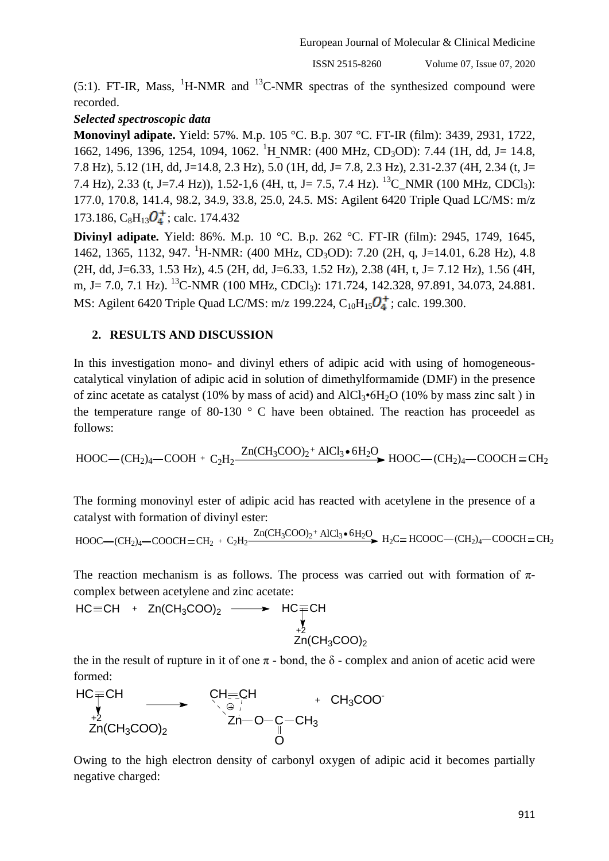(5:1). FT-IR, Mass,  ${}^{1}H\text{-}NMR$  and  ${}^{13}C\text{-}NMR$  spectras of the synthesized compound were recorded.

## *Selected spectroscopic data*

**Monovinyl adipate.** Yield: 57%. M.p. 105 °C. B.p. 307 °C. FT-IR (film): 3439, 2931, 1722, 1662, 1496, 1396, 1254, 1094, 1062. <sup>1</sup>H\_NMR: (400 MHz, CD<sub>3</sub>OD): 7.44 (1H, dd, J= 14.8, 7.8 Hz), 5.12 (1H, dd, J=14.8, 2.3 Hz), 5.0 (1H, dd, J= 7.8, 2.3 Hz), 2.31-2.37 (4H, 2.34 (t, J= 7.4 Hz), 2.33 (t, J=7.4 Hz)), 1.52-1,6 (4H, tt, J= 7.5, 7.4 Hz). <sup>13</sup>C\_NMR (100 MHz, CDCl<sub>3</sub>): 177.0, 170.8, 141.4, 98.2, 34.9, 33.8, 25.0, 24.5. MS: Agilent 6420 Triple Quad LC/MS: m/z 173.186,  $C_8H_{13}\mathbf{O}_4^+$ ; calc. 174.432

**Divinyl adipate.** Yield: 86%. M.p. 10 °C. B.p. 262 °C. FT-IR (film): 2945, 1749, 1645, 1462, 1365, 1132, 947. <sup>1</sup>H-NMR: (400 MHz, CD<sub>3</sub>OD): 7.20 (2H, q, J=14.01, 6.28 Hz), 4.8 (2H, dd, J=6.33, 1.53 Hz), 4.5 (2H, dd, J=6.33, 1.52 Hz), 2.38 (4H, t, J= 7.12 Hz), 1.56 (4H, m, J = 7.0, 7.1 Hz). <sup>13</sup>C-NMR (100 MHz, CDCl<sub>3</sub>): 171.724, 142.328, 97.891, 34.073, 24.881. MS: Agilent 6420 Triple Quad LC/MS:  $m/z$  199.224, C<sub>10</sub>H<sub>15</sub> $Q_4^+$ ; calc. 199.300.

## **2. RESULTS AND DISCUSSION**

In this investigation mono- and divinyl ethers of adipic acid with using of homogeneouscatalytical vinylation of adipic acid in solution of dimethylformamide (DMF) in the presence of zinc acetate as catalyst (10% by mass of acid) and  $AICI_3\text{-}6H_2O$  (10% by mass zinc salt) in the temperature range of 80-130  $\degree$  C have been obtained. The reaction has proceedel as follows:

$$
HOOC - (CH2)4 - COOH + C2H2 - \frac{Zn(CH3COO)2 + AICl3 • 6H2O}{HOOC - (CH2)4 - COOCH = CH2}
$$

The forming monovinyl ester of adipic acid has reacted with acetylene in the presence of a catalyst with formation of divinyl ester:

$$
HOOC - (CH2)4 - COOCH = CH2 + C2H2 - \frac{Zn(CH3COO)2 + AlCl3 • 6H2O}{H2C = HCOOC - (CH2)4 - COOCH = CH2
$$

The reaction mechanism is as follows. The process was carried out with formation of  $\pi$ complex between acetylene and zinc acetate:

$$
\begin{array}{cccc}\n\text{HC} \equiv & \text{CH} & \text{In}(\text{CH}_3\text{COO})_2 & \longrightarrow & \text{HC} \underset{+2}{\equiv} & \text{CH} \\
\text{In}(\text{CH}_3\text{COO})_2 & & \text{In}(\text{CH}_3\text{COO})_2\n\end{array}
$$

the in the result of rupture in it of one  $\pi$  - bond, the  $\delta$  - complex and anion of acetic acid were formed:

$$
\begin{array}{ccc}\nHC = CH & & CH = CH & + CH_3COO \\
\downarrow & & \downarrow & & \downarrow \\
Zn(CH_3COO)_2 & & Zn-O-C-CH_3 & & \\
& & & O\n\end{array}
$$

Owing to the high electron density of carbonyl oxygen of adipic acid it becomes partially negative charged: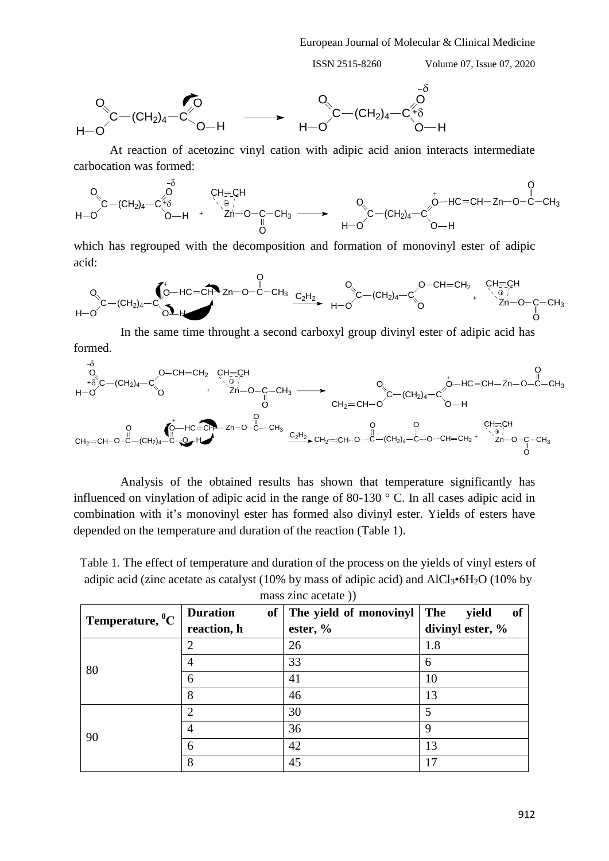ISSN 2515-8260 Volume 07, Issue 07, 2020



At reaction of acetozinc vinyl cation with adipic acid anion interacts intermediate carbocation was formed:

$$
\begin{matrix}0&- \delta &0 \\ 0& C+ C+ \delta & \delta \\\ H- O & O-H & \end{matrix} \xrightarrow{\begin{matrix} - \delta & C+ C+ C \\ C+ \delta & \delta \\\end{matrix}} \xrightarrow{\begin{matrix} - \delta & C+ C+ C \\ C+ \delta \\\end{matrix}} \xrightarrow{\begin{matrix} - \delta & O \\ - \delta \\\end{matrix}} \xrightarrow{\begin{matrix} - \delta & O \\ - \delta \\\end{matrix}} \xrightarrow{\begin{matrix} - \delta & O \\ - \delta \\\end{matrix}} \xrightarrow{\begin{matrix} - \delta & O \\ - \delta \\\end{matrix}} \xrightarrow{\begin{matrix} - \delta & O \\ - \delta \\\end{matrix}} \xrightarrow{\begin{matrix} - \delta & O \\ - \delta \\\end{matrix}} \xrightarrow{\begin{matrix} - \delta & O \\ - \delta \\\end{matrix}} \xrightarrow{\begin{matrix} - \delta & O \\ - \delta \\\end{matrix}} \xrightarrow{\begin{matrix} - \delta & O \\ - \delta \\\end{matrix}} \xrightarrow{\begin{matrix} - \delta & O \\ - \delta \\\end{matrix}} \xrightarrow{\begin{matrix} - \delta & O \\ - \delta \\\end{matrix}} \xrightarrow{\begin{matrix} - \delta & O \\ - \delta \\\end{matrix}} \xrightarrow{\begin{matrix} - \delta & O \\ - \delta \\\end{matrix}} \xrightarrow{\begin{matrix} - \delta & O \\ - \delta \\\end{matrix}} \xrightarrow{\begin{matrix} - \delta & O \\ - \delta \\\end{matrix}} \xrightarrow{\begin{matrix} - \delta & O \\ - \delta \\\end{matrix}} \xrightarrow{\begin{matrix} - \delta & O \\ - \delta \\\end{matrix}} \xrightarrow{\begin{matrix} - \delta & O \\ - \delta \\\end{matrix}} \xrightarrow{\begin{matrix} - \delta & O \\ - \delta \\\end{matrix}} \xrightarrow{\begin{matrix} - \delta & O \\ - \delta \\\end{matrix}} \xrightarrow{\begin{matrix} - \delta & O \\ - \delta \\\end{matrix}} \xrightarrow{\begin{matrix} - \delta & O \\ - \delta \\\end{matrix}} \xrightarrow{\begin{matrix} - \delta & O \\ - \delta \\\end{matrix}} \xrightarrow{\begin{matrix} - \delta & O \\ - \delta \\\end{matrix}} \xrightarrow{\begin{matrix} - \delta & O \\ - \delta \\\end{matrix}} \xrightarrow{\begin{matrix} - \delta & O \\ - \delta \\\end{matrix}} \xrightarrow{\begin{matrix} - \delta & O \\ - \delta \\\end{matrix}} \xrightarrow{\begin{matrix} - \delta & O \\ - \delta \\\end{matrix}} \xrightarrow{\begin{matrix} - \delta & O \\ - \delta \
$$

which has regrouped with the decomposition and formation of monovinyl ester of adipic acid:

C O H O (CH2)<sup>4</sup> C O O H HC CH Zn O C O CH<sup>3</sup> C O H O (CH2)<sup>4</sup> C O O CH CH<sup>2</sup> + C2H<sup>2</sup> CH CH Zn O C O CH<sup>3</sup>

In the same time throught a second carboxyl group divinyl ester of adipic acid has formed.



Analysis of the obtained results has shown that temperature significantly has influenced on vinylation of adipic acid in the range of 80-130 ° C. In all cases adipic acid in combination with it's monovinyl ester has formed also divinyl ester. Yields of esters have depended on the temperature and duration of the reaction (Table 1).

Table 1. The effect of temperature and duration of the process on the yields of vinyl esters of adipic acid (zinc acetate as catalyst (10% by mass of adipic acid) and  $AICI_3\bullet 6H_2O$  (10% by mass zinc acetate ))

| mass <i>E</i> me accuate <i>II</i> |                       |                        |                    |  |  |  |
|------------------------------------|-----------------------|------------------------|--------------------|--|--|--|
| Temperature, ${}^0C$               | <b>Duration</b><br>of | The yield of monovinyl | The<br>yield<br>of |  |  |  |
|                                    | reaction, h           | ester, $\%$            | divinyl ester, %   |  |  |  |
| 80                                 | 2                     | 26                     | 1.8                |  |  |  |
|                                    | $\overline{4}$        | 33                     | 6                  |  |  |  |
|                                    | 6                     | 41                     | 10                 |  |  |  |
|                                    | 8                     | 46                     | 13                 |  |  |  |
| 90                                 | $\overline{2}$        | 30                     | 5                  |  |  |  |
|                                    | $\overline{4}$        | 36                     | 9                  |  |  |  |
|                                    | 6                     | 42                     | 13                 |  |  |  |
|                                    | 8                     | 45                     | 17                 |  |  |  |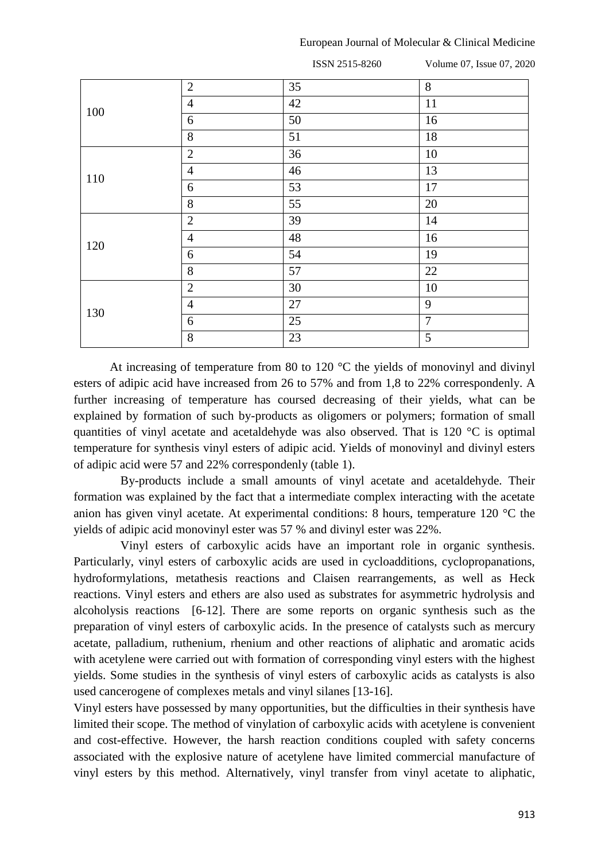|     |                | ISSN 2515-8260 | Volume 07, Issue 07, 2020 |
|-----|----------------|----------------|---------------------------|
|     | $\overline{2}$ | 35             | $8\,$                     |
| 100 | $\overline{4}$ | 42             | 11                        |
|     | 6              | 50             | 16                        |
|     | 8              | 51             | 18                        |
| 110 | $\overline{2}$ | 36             | 10                        |
|     | $\overline{4}$ | 46             | 13                        |
|     | 6              | 53             | 17                        |
|     | 8              | 55             | 20                        |
|     | $\overline{2}$ | 39             | 14                        |
| 120 | $\overline{4}$ | 48             | 16                        |
|     | 6              | 54             | 19                        |
|     | 8              | 57             | 22                        |
|     | $\mathbf{2}$   | 30             | 10                        |
| 130 | $\overline{4}$ | 27             | 9                         |
|     | 6              | 25             | $\overline{7}$            |
|     | 8              | 23             | 5                         |

At increasing of temperature from 80 to 120 °C the yields of monovinyl and divinyl esters of adipic acid have increased from 26 to 57% and from 1,8 to 22% correspondenly. A further increasing of temperature has coursed decreasing of their yields, what can be explained by formation of such by-products as oligomers or polymers; formation of small quantities of vinyl acetate and acetaldehyde was also observed. That is 120 °C is optimal temperature for synthesis vinyl esters of adipic acid. Yields of monovinyl and divinyl esters of adipic acid were 57 and 22% correspondenly (table 1).

By-products include a small amounts of vinyl acetate and acetaldehyde. Their formation was explained by the fact that a intermediate complex interacting with the acetate anion has given vinyl acetate. At experimental conditions: 8 hours, temperature 120 °C the yields of adipic acid monovinyl ester was 57 % and divinyl ester was 22%.

Vinyl esters of carboxylic acids have an important role in organic synthesis. Particularly, vinyl esters of carboxylic acids are used in cycloadditions, cyclopropanations, hydroformylations, metathesis reactions and Claisen rearrangements, as well as Heck reactions. Vinyl esters and ethers are also used as substrates for asymmetric hydrolysis and alcoholysis reactions [6-12]. There are some reports on organic synthesis such as the preparation of vinyl esters of carboxylic acids. In the presence of catalysts such as mercury acetate, palladium, ruthenium, rhenium and other reactions of aliphatic and aromatic acids with acetylene were carried out with formation of corresponding vinyl esters with the highest yields. Some studies in the synthesis of vinyl esters of carboxylic acids as catalysts is also used cancerogene of complexes metals and vinyl silanes [13-16].

Vinyl esters have possessed by many opportunities, but the difficulties in their synthesis have limited their scope. The method of vinylation of carboxylic acids with acetylene is convenient and cost-effective. However, the harsh reaction conditions coupled with safety concerns associated with the explosive nature of acetylene have limited commercial manufacture of vinyl esters by this method. Alternatively, vinyl transfer from vinyl acetate to aliphatic,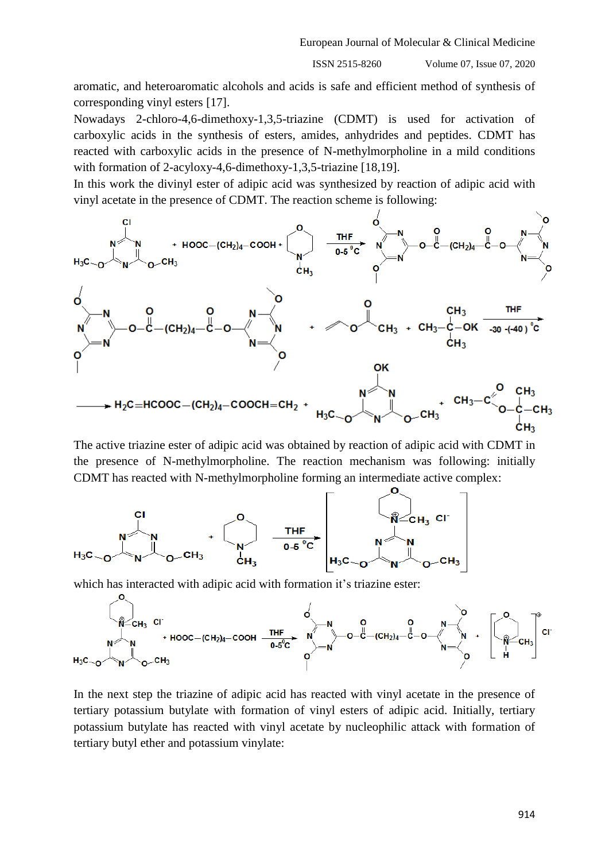aromatic, and heteroaromatic alcohols and acids is safe and efficient method of synthesis of corresponding vinyl esters [17].

Nowadays 2-chloro-4,6-dimethoxy-1,3,5-triazine (CDMT) is used for activation of carboxylic acids in the synthesis of esters, amides, anhydrides and peptides. CDMT has reacted with carboxylic acids in the presence of N-methylmorpholine in a mild conditions with formation of 2-acyloxy-4,6-dimethoxy-1,3,5-triazine [18,19].

In this work the divinyl ester of adipic acid was synthesized by reaction of adipic acid with vinyl acetate in the presence of CDMT. The reaction scheme is following:



The active triazine ester of adipic acid was obtained by reaction of adipic acid with CDMT in the presence of N-methylmorpholine. The reaction mechanism was following: initially CDMT has reacted with N-methylmorpholine forming an intermediate active complex:

$$
H_3C_{\sim O} \xrightarrow{N} \begin{bmatrix} C_1 \\ N \\ N \end{bmatrix} C^{-CH_3} + \begin{bmatrix} 0 \\ N \end{bmatrix} \xrightarrow{THF} \begin{bmatrix} 0 \\ N \end{bmatrix} C H_3 \begin{bmatrix} 0 \\ N \end{bmatrix} C H_3 \begin{bmatrix} 0 \\ N \end{bmatrix}
$$

which has interacted with adipic acid with formation it's triazine ester:

In the next step the triazine of adipic acid has reacted with vinyl acetate in the presence of tertiary potassium butylate with formation of vinyl esters of adipic acid. Initially, tertiary potassium butylate has reacted with vinyl acetate by nucleophilic attack with formation of tertiary butyl ether and potassium vinylate: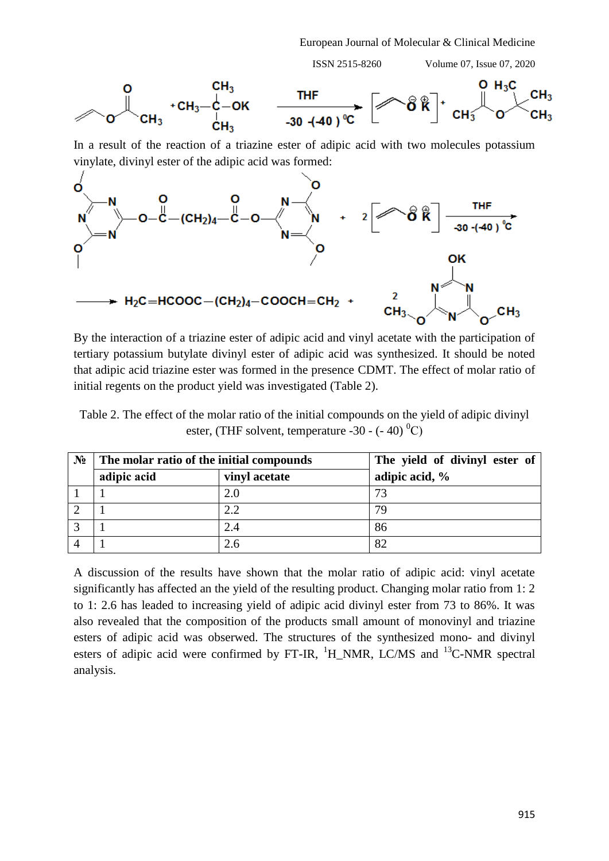ISSN 2515-8260 Volume 07, Issue 07, 2020



In a result of the reaction of a triazine ester of adipic acid with two molecules potassium vinylate, divinyl ester of the adipic acid was formed:



By the interaction of a triazine ester of adipic acid and vinyl acetate with the participation of tertiary potassium butylate divinyl ester of adipic acid was synthesized. It should be noted that adipic acid triazine ester was formed in the presence CDMT. The effect of molar ratio of initial regents on the product yield was investigated (Table 2).

Table 2. The effect of the molar ratio of the initial compounds on the yield of adipic divinyl ester, (THF solvent, temperature -30 -  $(-40)^{0}$ C)

| $N_2$ | The molar ratio of the initial compounds |               | The yield of divinyl ester of |  |  |
|-------|------------------------------------------|---------------|-------------------------------|--|--|
|       | adipic acid                              | vinyl acetate | adipic acid, %                |  |  |
|       |                                          | 2.0           |                               |  |  |
|       |                                          | 2.2           | 79                            |  |  |
|       |                                          | 2.4           | 86                            |  |  |
|       |                                          | 2.6           | 82                            |  |  |

A discussion of the results have shown that the molar ratio of adipic acid: vinyl acetate significantly has affected an the yield of the resulting product. Changing molar ratio from 1: 2 to 1: 2.6 has leaded to increasing yield of adipic acid divinyl ester from 73 to 86%. It was also revealed that the composition of the products small amount of monovinyl and triazine esters of adipic acid was obserwed. The structures of the synthesized mono- and divinyl esters of adipic acid were confirmed by FT-IR,  $^1$ H\_NMR, LC/MS and  $^{13}$ C-NMR spectral analysis.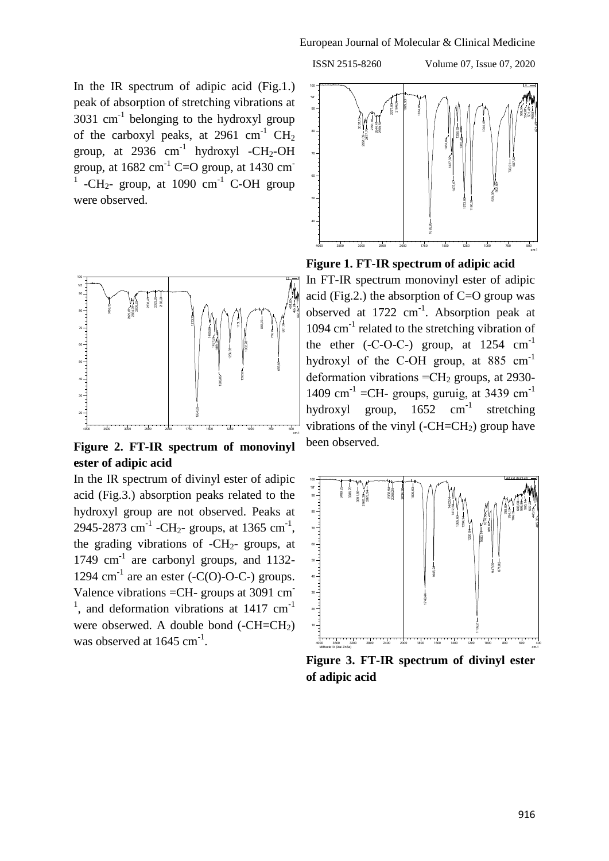ISSN 2515-8260 Volume 07, Issue 07, 2020

In the IR spectrum of adipic acid (Fig.1.) peak of absorption of stretching vibrations at  $3031$  cm<sup>-1</sup> belonging to the hydroxyl group of the carboxyl peaks, at  $2961 \text{ cm}^{-1} \text{ CH}_2$ group, at 2936  $cm^{-1}$  hydroxyl -CH<sub>2</sub>-OH group, at  $1682 \text{ cm}^{-1}$  C=O group, at  $1430 \text{ cm}^{-1}$ 1 -CH<sub>2</sub>- group, at 1090  $cm^{-1}$  C-OH group were observed.



**Figure 2. FT-IR spectrum of monovinyl ester of adipic acid**

In the IR spectrum of divinyl ester of adipic acid (Fig.3.) absorption peaks related to the hydroxyl group are not observed. Peaks at 2945-2873 cm<sup>-1</sup> -CH<sub>2</sub>- groups, at 1365 cm<sup>-1</sup>, the grading vibrations of  $-CH_{2}$ - groups, at 1749 cm<sup>-1</sup> are carbonyl groups, and 1132-1294  $\text{cm}^{-1}$  are an ester (-C(O)-O-C-) groups. Valence vibrations =CH- groups at 3091 cm- $1$ , and deformation vibrations at 1417 cm<sup>-1</sup> were obserwed. A double bond (-CH=CH<sub>2</sub>) was observed at  $1645 \text{ cm}^{-1}$ .



## **Figure 1. FT-IR spectrum of adipic acid**

In FT-IR spectrum monovinyl ester of adipic acid (Fig.2.) the absorption of C=O group was observed at  $1722 \text{ cm}^{-1}$ . Absorption peak at 1094 cm<sup>-1</sup> related to the stretching vibration of the ether  $(-C-C-C)$  group, at  $1254 \text{ cm}^{-1}$ hydroxyl of the C-OH group, at 885 cm<sup>-1</sup> deformation vibrations  $=CH_2$  groups, at 2930-1409 cm<sup>-1</sup> = CH- groups, guruig, at 3439 cm<sup>-1</sup> hydroxyl group,  $1652 \text{ cm}^{-1}$ stretching vibrations of the vinyl (- $CH=CH<sub>2</sub>$ ) group have been observed.



**Figure 3. FT-IR spectrum of divinyl ester of adipic acid**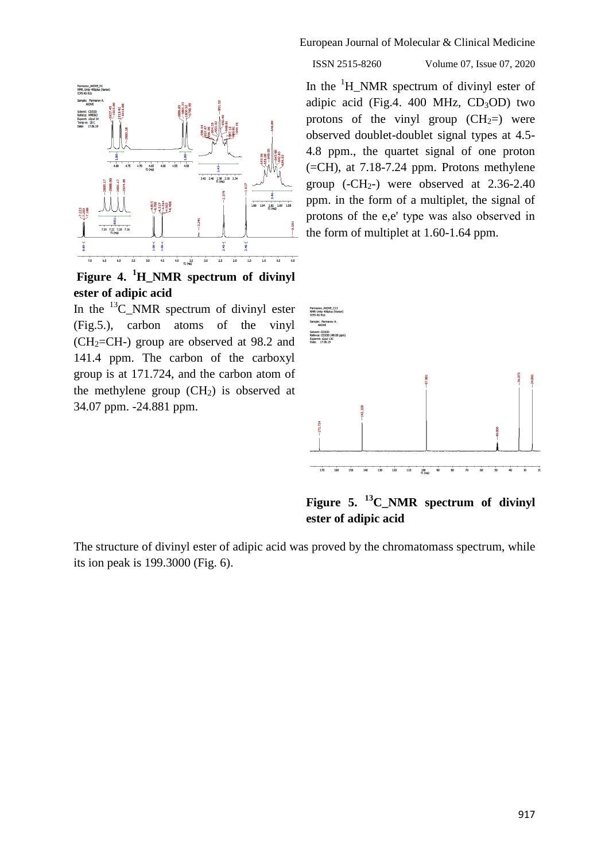

**Figure 4. <sup>1</sup>H\_NMR spectrum of divinyl ester of adipic acid**

In the  $^{13}$ C NMR spectrum of divinyl ester (Fig.5.), carbon atoms of the vinyl  $(CH<sub>2</sub>=CH<sub>-</sub>)$  group are observed at 98.2 and 141.4 ppm. The carbon of the carboxyl group is at 171.724, and the carbon atom of the methylene group  $(CH<sub>2</sub>)$  is observed at 34.07 ppm. -24.881 ppm.

European Journal of Molecular & Clinical Medicine

#### ISSN 2515-8260 Volume 07, Issue 07, 2020

In the  ${}^{1}H$  NMR spectrum of divinyl ester of adipic acid (Fig.4. 400 MHz,  $CD<sub>3</sub>OD$ ) two protons of the vinyl group  $(CH_2=)$  were observed doublet-doublet signal types at 4.5- 4.8 ppm., the quartet signal of one proton  $(=CH)$ , at 7.18-7.24 ppm. Protons methylene group  $(-CH<sub>2</sub>-)$  were observed at 2.36-2.40 ppm. in the form of a multiplet, the signal of protons of the e,e' type was аlso observed in the form of multiplet at 1.60-1.64 ppm.



**Figure 5. <sup>13</sup>C\_NMR spectrum of divinyl ester of adipic acid**

The structure of divinyl ester of adipic acid was proved by the chromatomass spectrum, while its ion peak is 199.3000 (Fig. 6).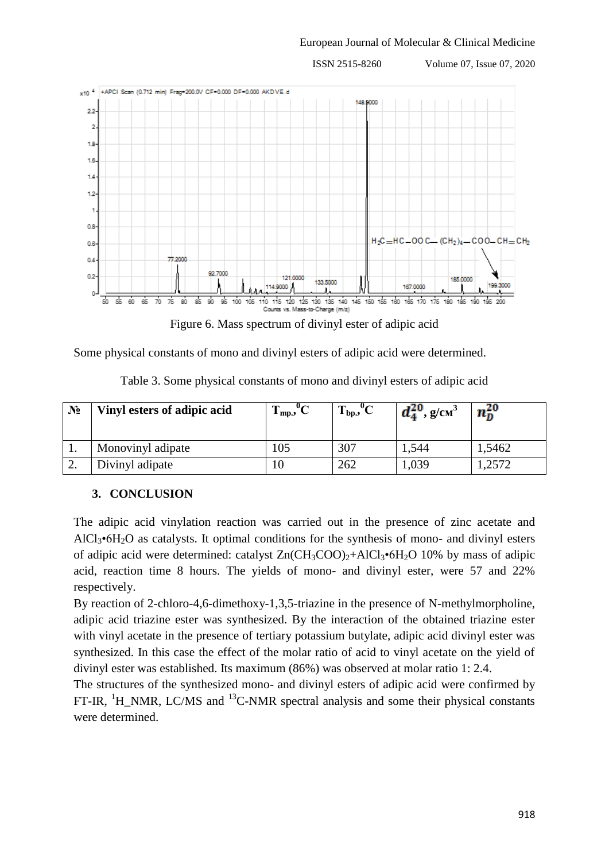

Figure 6. Mass spectrum of divinyl ester of adipic acid

Some physical constants of mono and divinyl esters of adipic acid were determined.

| $N_2$     | Vinyl esters of adipic acid | $\mathbf{I}_{mp,2}$ | $\mathsf{u}_\Omega$<br>$T_{bp}$ , ${}^{\circ}C$ | $d_4^{20}$ , g/cm <sup>3</sup> | $n_0^{20}$ |
|-----------|-----------------------------|---------------------|-------------------------------------------------|--------------------------------|------------|
|           | Monovinyl adipate           | 105                 | 307                                             | 1,544                          | .5462      |
| <u>L.</u> | Divinyl adipate             |                     | 262                                             | 1,039                          | .2572      |

Table 3. Some physical constants of mono and divinyl esters of adipic acid

# **3. CONCLUSION**

The adipic acid vinylation reaction was carried out in the presence of zinc acetate and AlCl<sub>3</sub> $\cdot$ 6H<sub>2</sub>O as catalysts. It optimal conditions for the synthesis of mono- and divinyl esters of adipic acid were determined: catalyst  $Zn(CH_3COO)_2+AICl_3*6H_2O$  10% by mass of adipic acid, reaction time 8 hours. The yields of mono- and divinyl ester, were 57 and 22% respectively.

By reaction of 2-chloro-4,6-dimethoxy-1,3,5-triazine in the presence of N-methylmorpholine, adipic acid triazine ester was synthesized. By the interaction of the obtained triazine ester with vinyl acetate in the presence of tertiary potassium butylate, adipic acid divinyl ester was synthesized. In this case the effect of the molar ratio of acid to vinyl acetate on the yield of divinyl ester was established. Its maximum (86%) was observed at molar ratio 1: 2.4.

The structures of the synthesized mono- and divinyl esters of adipic acid were confirmed by FT-IR, <sup>1</sup>H\_NMR, LC/MS and <sup>13</sup>C-NMR spectral analysis and some their physical constants were determined.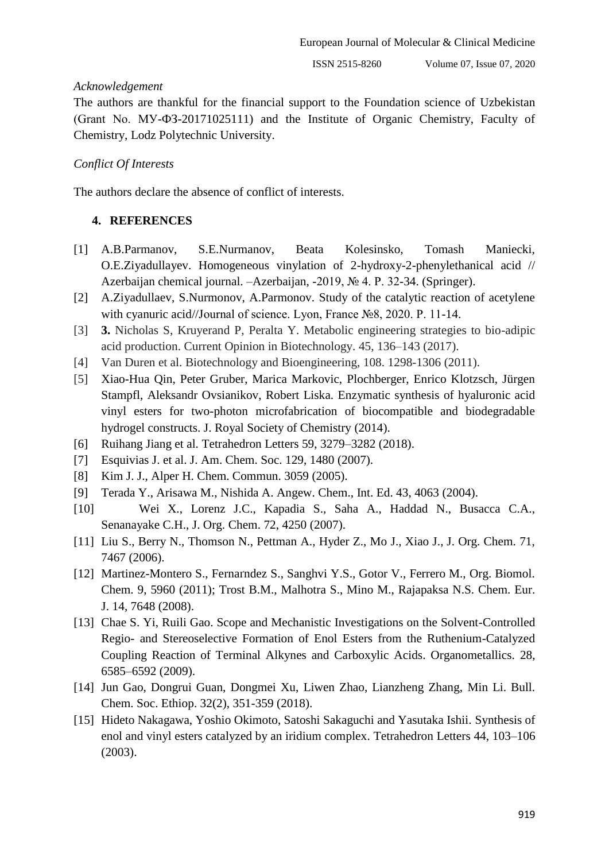## *Acknowledgement*

The authors are thankful for the financial support to the Foundation science of Uzbekistan (Grant No. МУ-ФЗ-20171025111) and the Institute of Organic Chemistry, Faculty of Chemistry, Lodz Polytechnic University.

# *Conflict Of Interests*

The authors declare the absence of conflict of interests.

# **4. REFERENCES**

- [1] A.B.Parmanov, S.E.Nurmanov, Beata Kolesinsko, Tomash Maniecki, O.E.Ziyadullayev. Homogeneous vinylation of 2-hydroxy-2-phenylethanical acid // Azerbaijan chemical journal. –Azerbaijan, -2019, № 4. P. 32-34. (Springer).
- [2] A.Ziyadullaev, S.Nurmonov, A.Parmonov. Study of the catalytic reaction of acetylene with cyanuric acid//Journal of science. Lyon, France №8, 2020. P. 11-14.
- [3] **3.** Nicholas S, Kruyerand P, Peralta Y. Metabolic engineering strategies to bio-adipic acid production. Current Opinion in Biotechnology. 45, 136–143 (2017).
- [4] Van Duren et al. Biotechnology and Bioengineering, 108. 1298-1306 (2011).
- [5] Xiao-Hua Qin, Peter Gruber, Marica Markovic, Plochberger, Enrico Klotzsch, Jürgen Stampfl, Aleksandr Ovsianikov, Robert Liska. Enzymatic synthesis of hyaluronic acid vinyl esters for two-photon microfabrication of biocompatible and biodegradable hydrogel constructs. J. Royal Society of Chemistry (2014).
- [6] Ruihang Jiang et al. Tetrahedron Letters 59, 3279–3282 (2018).
- [7] Esquivias J. et al. J. Am. Chem. Soc. 129, 1480 (2007).
- [8] Kim J. J., Alper H. Chem. Commun. 3059 (2005).
- [9] Terada Y., Arisawa M., Nishida A. Angew. Chem., Int. Ed. 43, 4063 (2004).
- [10] Wei X., Lorenz J.C., Kapadia S., Saha A., Haddad N., Busacca C.A., Senanayake C.H., J. Org. Chem. 72, 4250 (2007).
- [11] Liu S., Berry N., Thomson N., Pettman A., Hyder Z., Mo J., Xiao J., J. Org. Chem. 71, 7467 (2006).
- [12] Martinez-Montero S., Fernarndez S., Sanghvi Y.S., Gotor V., Ferrero M., Org. Biomol. Chem. 9, 5960 (2011); Trost B.M., Malhotra S., Mino M., Rajapaksa N.S. Chem. Eur. J. 14, 7648 (2008).
- [13] Chae S. Yi, Ruili Gao. Scope and Mechanistic Investigations on the Solvent-Controlled Regio- and Stereoselective Formation of Enol Esters from the Ruthenium-Catalyzed Coupling Reaction of Terminal Alkynes and Carboxylic Acids. Organometallics. 28, 6585–6592 (2009).
- [14] Jun Gao, Dongrui Guan, Dongmei Xu, Liwen Zhao, Lianzheng Zhang, Min Li. Bull. Chem. Soc. Ethiop. 32(2), 351-359 (2018).
- [15] Hideto Nakagawa, Yoshio Okimoto, Satoshi Sakaguchi and Yasutaka Ishii. Synthesis of enol and vinyl esters catalyzed by an iridium complex. Tetrahedron Letters 44, 103–106 (2003).